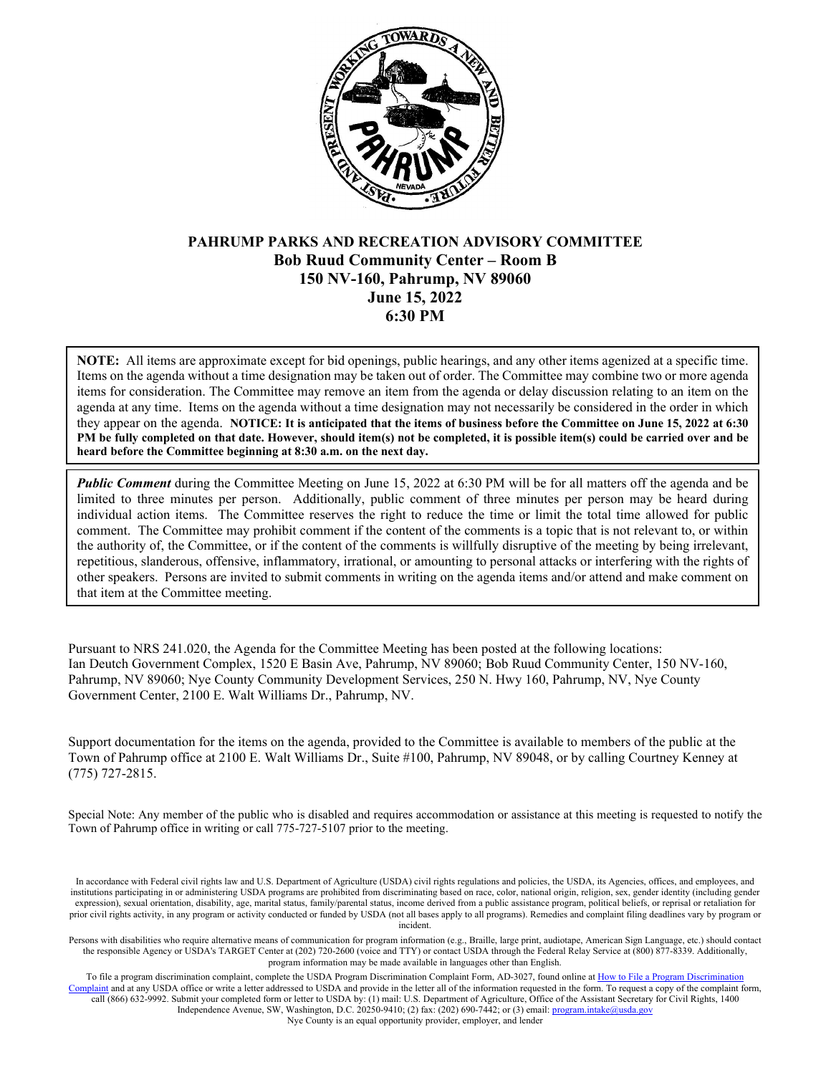

# **PAHRUMP PARKS AND RECREATION ADVISORY COMMITTEE Bob Ruud Community Center – Room B 150 NV-160, Pahrump, NV 89060 June 15, 2022 6:30 PM**

**NOTE:** All items are approximate except for bid openings, public hearings, and any other items agenized at a specific time. Items on the agenda without a time designation may be taken out of order. The Committee may combine two or more agenda items for consideration. The Committee may remove an item from the agenda or delay discussion relating to an item on the agenda at any time. Items on the agenda without a time designation may not necessarily be considered in the order in which they appear on the agenda. **NOTICE: It is anticipated that the items of business before the Committee on June 15, 2022 at 6:30 PM be fully completed on that date. However, should item(s) not be completed, it is possible item(s) could be carried over and be heard before the Committee beginning at 8:30 a.m. on the next day.**

*Public Comment* during the Committee Meeting on June 15, 2022 at 6:30 PM will be for all matters off the agenda and be limited to three minutes per person. Additionally, public comment of three minutes per person may be heard during individual action items. The Committee reserves the right to reduce the time or limit the total time allowed for public comment. The Committee may prohibit comment if the content of the comments is a topic that is not relevant to, or within the authority of, the Committee, or if the content of the comments is willfully disruptive of the meeting by being irrelevant, repetitious, slanderous, offensive, inflammatory, irrational, or amounting to personal attacks or interfering with the rights of other speakers. Persons are invited to submit comments in writing on the agenda items and/or attend and make comment on that item at the Committee meeting.

Pursuant to NRS 241.020, the Agenda for the Committee Meeting has been posted at the following locations: Ian Deutch Government Complex, 1520 E Basin Ave, Pahrump, NV 89060; Bob Ruud Community Center, 150 NV-160, Pahrump, NV 89060; Nye County Community Development Services, 250 N. Hwy 160, Pahrump, NV, Nye County Government Center, 2100 E. Walt Williams Dr., Pahrump, NV.

Support documentation for the items on the agenda, provided to the Committee is available to members of the public at the Town of Pahrump office at 2100 E. Walt Williams Dr., Suite #100, Pahrump, NV 89048, or by calling Courtney Kenney at (775) 727-2815.

Special Note: Any member of the public who is disabled and requires accommodation or assistance at this meeting is requested to notify the Town of Pahrump office in writing or call 775-727-5107 prior to the meeting.

In accordance with Federal civil rights law and U.S. Department of Agriculture (USDA) civil rights regulations and policies, the USDA, its Agencies, offices, and employees, and institutions participating in or administering USDA programs are prohibited from discriminating based on race, color, national origin, religion, sex, gender identity (including gender expression), sexual orientation, disability, age, marital status, family/parental status, income derived from a public assistance program, political beliefs, or reprisal or retaliation for prior civil rights activity, in any program or activity conducted or funded by USDA (not all bases apply to all programs). Remedies and complaint filing deadlines vary by program or incident.

Persons with disabilities who require alternative means of communication for program information (e.g., Braille, large print, audiotape, American Sign Language, etc.) should contact the responsible Agency or USDA's TARGET Center at (202) 720-2600 (voice and TTY) or contact USDA through the Federal Relay Service at (800) 877-8339. Additionally, program information may be made available in languages other than English.

To file a program discrimination complaint, complete the USDA Program Discrimination Complaint Form, AD-3027, found online at How to File a Program Discrimination aplaint and at any USDA office or write a letter addressed to USDA and provide in the letter all of the information requested in the form. To request a copy of the complaint form, call (866) 632-9992. Submit your completed form or letter to USDA by: (1) mail: U.S. Department of Agriculture, Office of the Assistant Secretary for Civil Rights, 1400 Independence Avenue, SW, Washington, D.C. 20250-9410; (2) fax: (202) 690-7442; or (3) email[: program.intake@usda.gov](mailto:program.intake@usda.gov) Nye County is an equal opportunity provider, employer, and lender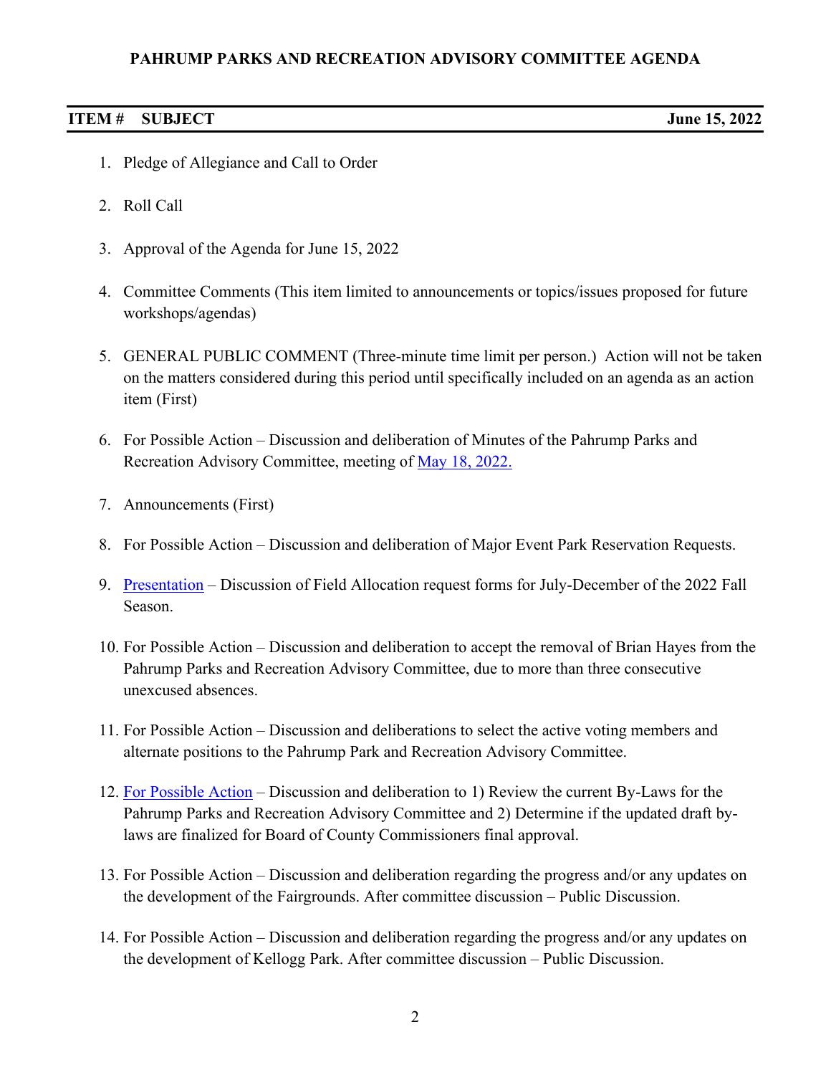# **PAHRUMP PARKS AND RECREATION ADVISORY COMMITTEE AGENDA**

#### **ITEM # SUBJECT June 15, 2022**

- 1. Pledge of Allegiance and Call to Order
- 2. Roll Call
- 3. Approval of the Agenda for June 15, 2022
- 4. Committee Comments (This item limited to announcements or topics/issues proposed for future workshops/agendas)
- 5. GENERAL PUBLIC COMMENT (Three-minute time limit per person.) Action will not be taken on the matters considered during this period until specifically included on an agenda as an action item (First)
- 6. For Possible Action Discussion and deliberation of Minutes of the Pahrump Parks and Recreation Advisory Committee, meeting of [May 18, 2022.](https://www.pahrumpnv.gov/DocumentCenter/View/1947/PPRAC-Minutes-May-18-2022)
- 7. Announcements (First)
- 8. For Possible Action Discussion and deliberation of Major Event Park Reservation Requests.
- 9. [Presentation](https://www.pahrumpnv.gov/DocumentCenter/View/1948/Item9) Discussion of Field Allocation request forms for July-December of the 2022 Fall Season.
- 10. For Possible Action Discussion and deliberation to accept the removal of Brian Hayes from the Pahrump Parks and Recreation Advisory Committee, due to more than three consecutive unexcused absences.
- 11. For Possible Action Discussion and deliberations to select the active voting members and alternate positions to the Pahrump Park and Recreation Advisory Committee.
- 12. [For Possible Action](https://www.pahrumpnv.gov/DocumentCenter/View/1949/PRAC-By-laws) Discussion and deliberation to 1) Review the current By-Laws for the Pahrump Parks and Recreation Advisory Committee and 2) Determine if the updated draft bylaws are finalized for Board of County Commissioners final approval.
- 13. For Possible Action Discussion and deliberation regarding the progress and/or any updates on the development of the Fairgrounds. After committee discussion – Public Discussion.
- 14. For Possible Action Discussion and deliberation regarding the progress and/or any updates on the development of Kellogg Park. After committee discussion – Public Discussion.